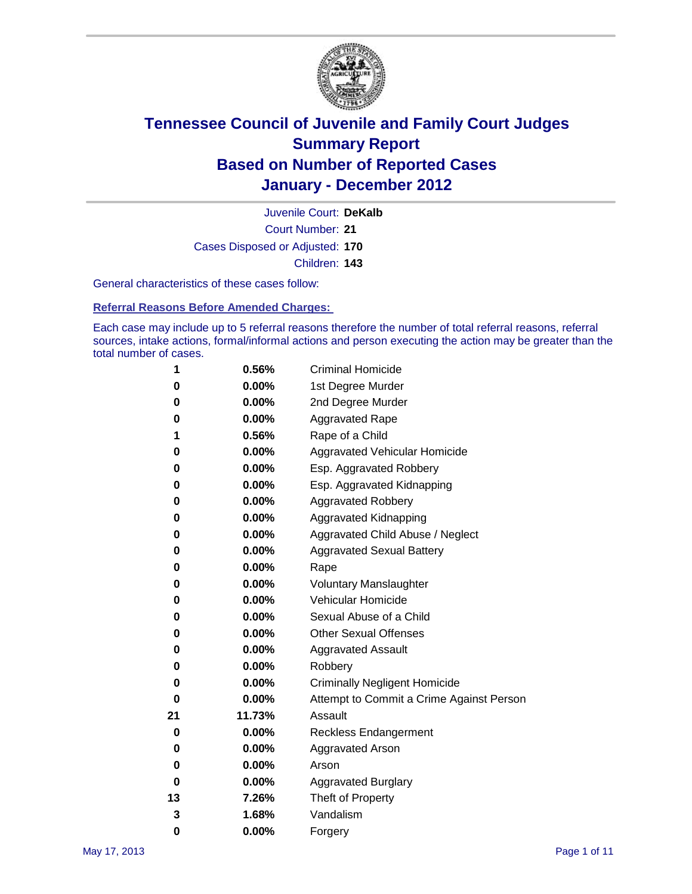

Court Number: **21** Juvenile Court: **DeKalb** Cases Disposed or Adjusted: **170** Children: **143**

General characteristics of these cases follow:

**Referral Reasons Before Amended Charges:** 

Each case may include up to 5 referral reasons therefore the number of total referral reasons, referral sources, intake actions, formal/informal actions and person executing the action may be greater than the total number of cases.

| 1  | 0.56%    | <b>Criminal Homicide</b>                 |  |  |
|----|----------|------------------------------------------|--|--|
| 0  | 0.00%    | 1st Degree Murder                        |  |  |
| 0  | 0.00%    | 2nd Degree Murder                        |  |  |
| 0  | 0.00%    | <b>Aggravated Rape</b>                   |  |  |
| 1  | 0.56%    | Rape of a Child                          |  |  |
| 0  | 0.00%    | Aggravated Vehicular Homicide            |  |  |
| 0  | 0.00%    | Esp. Aggravated Robbery                  |  |  |
| 0  | 0.00%    | Esp. Aggravated Kidnapping               |  |  |
| 0  | 0.00%    | <b>Aggravated Robbery</b>                |  |  |
| 0  | 0.00%    | Aggravated Kidnapping                    |  |  |
| 0  | 0.00%    | Aggravated Child Abuse / Neglect         |  |  |
| 0  | $0.00\%$ | <b>Aggravated Sexual Battery</b>         |  |  |
| 0  | 0.00%    | Rape                                     |  |  |
| 0  | 0.00%    | <b>Voluntary Manslaughter</b>            |  |  |
| 0  | 0.00%    | Vehicular Homicide                       |  |  |
| 0  | 0.00%    | Sexual Abuse of a Child                  |  |  |
| 0  | 0.00%    | <b>Other Sexual Offenses</b>             |  |  |
| 0  | 0.00%    | <b>Aggravated Assault</b>                |  |  |
| 0  | $0.00\%$ | Robbery                                  |  |  |
| 0  | 0.00%    | <b>Criminally Negligent Homicide</b>     |  |  |
| 0  | 0.00%    | Attempt to Commit a Crime Against Person |  |  |
| 21 | 11.73%   | Assault                                  |  |  |
| 0  | 0.00%    | <b>Reckless Endangerment</b>             |  |  |
| 0  | 0.00%    | <b>Aggravated Arson</b>                  |  |  |
| 0  | 0.00%    | Arson                                    |  |  |
| 0  | 0.00%    | <b>Aggravated Burglary</b>               |  |  |
| 13 | 7.26%    | Theft of Property                        |  |  |
| 3  | 1.68%    | Vandalism                                |  |  |
| 0  | 0.00%    | Forgery                                  |  |  |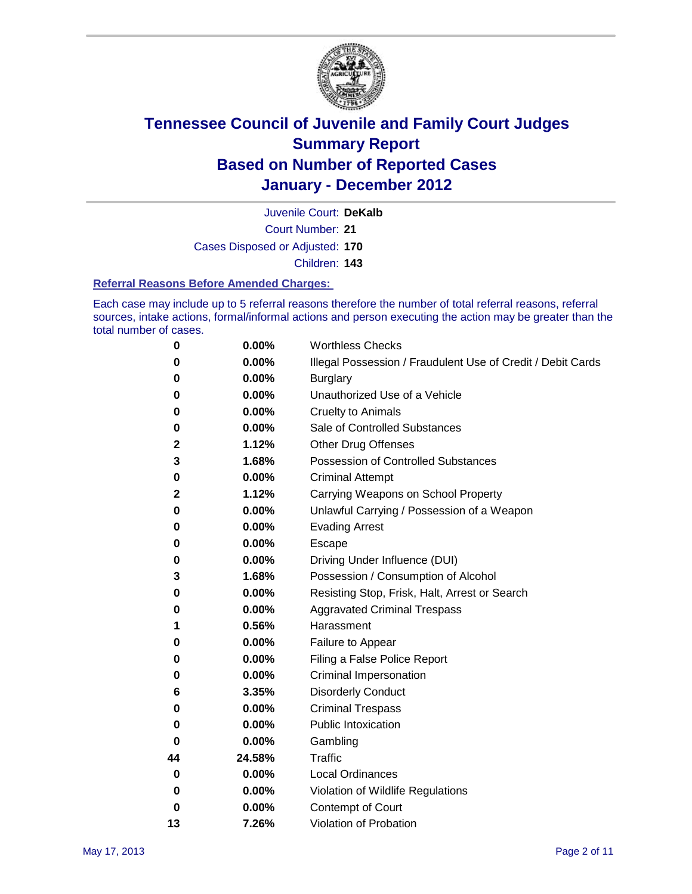

Court Number: **21** Juvenile Court: **DeKalb**

Cases Disposed or Adjusted: **170**

Children: **143**

#### **Referral Reasons Before Amended Charges:**

Each case may include up to 5 referral reasons therefore the number of total referral reasons, referral sources, intake actions, formal/informal actions and person executing the action may be greater than the total number of cases.

| 0        | 0.00%  | <b>Worthless Checks</b>                                     |  |  |
|----------|--------|-------------------------------------------------------------|--|--|
| 0        | 0.00%  | Illegal Possession / Fraudulent Use of Credit / Debit Cards |  |  |
| 0        | 0.00%  | <b>Burglary</b>                                             |  |  |
| 0        | 0.00%  | Unauthorized Use of a Vehicle                               |  |  |
| 0        | 0.00%  | <b>Cruelty to Animals</b>                                   |  |  |
| 0        | 0.00%  | Sale of Controlled Substances                               |  |  |
| 2        | 1.12%  | <b>Other Drug Offenses</b>                                  |  |  |
| 3        | 1.68%  | Possession of Controlled Substances                         |  |  |
| 0        | 0.00%  | <b>Criminal Attempt</b>                                     |  |  |
| 2        | 1.12%  | Carrying Weapons on School Property                         |  |  |
| 0        | 0.00%  | Unlawful Carrying / Possession of a Weapon                  |  |  |
| 0        | 0.00%  | <b>Evading Arrest</b>                                       |  |  |
| 0        | 0.00%  | Escape                                                      |  |  |
| 0        | 0.00%  | Driving Under Influence (DUI)                               |  |  |
| 3        | 1.68%  | Possession / Consumption of Alcohol                         |  |  |
| 0        | 0.00%  | Resisting Stop, Frisk, Halt, Arrest or Search               |  |  |
| 0        | 0.00%  | <b>Aggravated Criminal Trespass</b>                         |  |  |
| 1        | 0.56%  | Harassment                                                  |  |  |
| 0        | 0.00%  | Failure to Appear                                           |  |  |
| 0        | 0.00%  | Filing a False Police Report                                |  |  |
| 0        | 0.00%  | Criminal Impersonation                                      |  |  |
| 6        | 3.35%  | <b>Disorderly Conduct</b>                                   |  |  |
| 0        | 0.00%  | <b>Criminal Trespass</b>                                    |  |  |
| 0        | 0.00%  | <b>Public Intoxication</b>                                  |  |  |
| 0        | 0.00%  | Gambling                                                    |  |  |
| 44       | 24.58% | <b>Traffic</b>                                              |  |  |
| 0        | 0.00%  | <b>Local Ordinances</b>                                     |  |  |
| $\bf{0}$ | 0.00%  | Violation of Wildlife Regulations                           |  |  |
| 0        | 0.00%  | Contempt of Court                                           |  |  |
| 13       | 7.26%  | Violation of Probation                                      |  |  |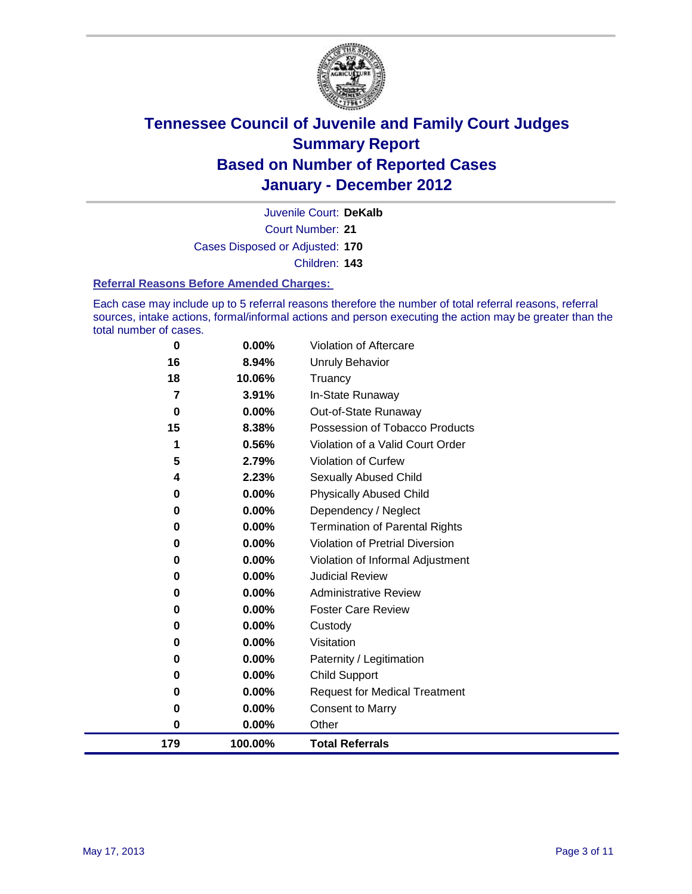

Court Number: **21** Juvenile Court: **DeKalb** Cases Disposed or Adjusted: **170** Children: **143**

#### **Referral Reasons Before Amended Charges:**

Each case may include up to 5 referral reasons therefore the number of total referral reasons, referral sources, intake actions, formal/informal actions and person executing the action may be greater than the total number of cases.

| 179            | 100.00%        | <b>Total Referrals</b>                                 |
|----------------|----------------|--------------------------------------------------------|
| $\bf{0}$       | 0.00%          | Other                                                  |
| 0              | 0.00%          | <b>Consent to Marry</b>                                |
| 0              | 0.00%          | <b>Request for Medical Treatment</b>                   |
| $\bf{0}$       | 0.00%          | <b>Child Support</b>                                   |
| 0              | 0.00%          | Paternity / Legitimation                               |
| 0              | 0.00%          | Visitation                                             |
| $\bf{0}$       | 0.00%          | Custody                                                |
| 0              | 0.00%          | <b>Foster Care Review</b>                              |
| 0              | $0.00\%$       | <b>Administrative Review</b>                           |
| $\bf{0}$       | $0.00\%$       | <b>Judicial Review</b>                                 |
| 0              | 0.00%          | Violation of Informal Adjustment                       |
| $\bf{0}$       | $0.00\%$       | <b>Violation of Pretrial Diversion</b>                 |
| $\bf{0}$       | $0.00\%$       | Termination of Parental Rights                         |
| 0              | 0.00%          | Dependency / Neglect                                   |
| $\bf{0}$       | $0.00\%$       | <b>Physically Abused Child</b>                         |
| 4              | 2.23%          | <b>Sexually Abused Child</b>                           |
| 5              | 2.79%          | Violation of Curfew                                    |
|                | 0.56%          | Violation of a Valid Court Order                       |
| $\bf{0}$<br>15 | 0.00%<br>8.38% | Out-of-State Runaway<br>Possession of Tobacco Products |
| 7              | 3.91%          | In-State Runaway                                       |
| 18             | 10.06%         | Truancy                                                |
| 16             | 8.94%          | Unruly Behavior                                        |
| $\bf{0}$       | 0.00%          | <b>Violation of Aftercare</b>                          |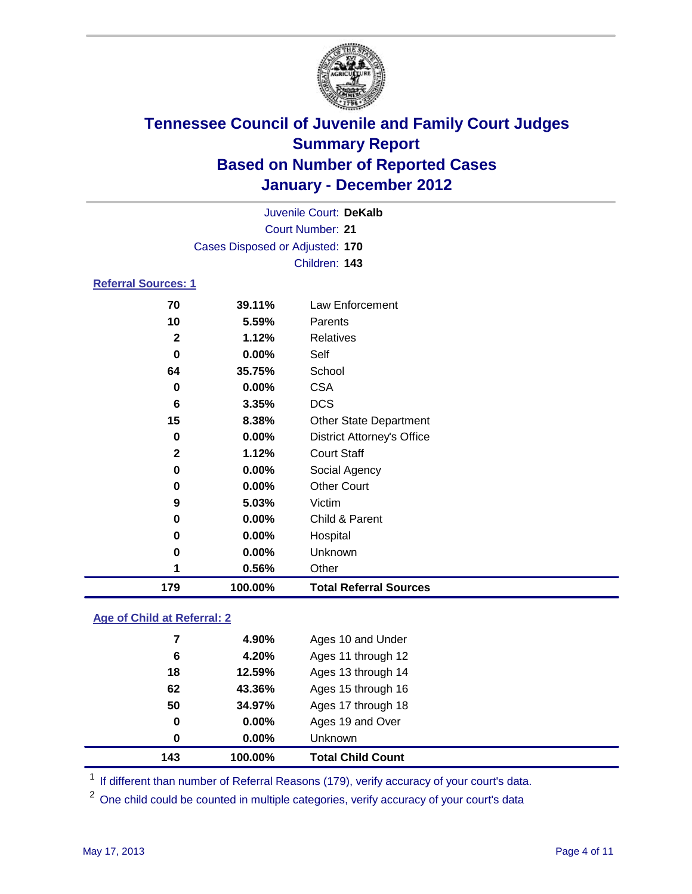

|                            | Juvenile Court: DeKalb          |                                   |  |  |
|----------------------------|---------------------------------|-----------------------------------|--|--|
|                            | Court Number: 21                |                                   |  |  |
|                            | Cases Disposed or Adjusted: 170 |                                   |  |  |
|                            |                                 | Children: 143                     |  |  |
| <b>Referral Sources: 1</b> |                                 |                                   |  |  |
| 70                         | 39.11%                          | <b>Law Enforcement</b>            |  |  |
| 10                         | 5.59%                           | Parents                           |  |  |
| $\mathbf{2}$               | 1.12%                           | <b>Relatives</b>                  |  |  |
| 0                          | 0.00%                           | Self                              |  |  |
| 64                         | 35.75%                          | School                            |  |  |
| 0                          | 0.00%                           | <b>CSA</b>                        |  |  |
| 6                          | 3.35%                           | <b>DCS</b>                        |  |  |
| 15                         | 8.38%                           | <b>Other State Department</b>     |  |  |
| 0                          | 0.00%                           | <b>District Attorney's Office</b> |  |  |
| $\mathbf{2}$               | 1.12%                           | <b>Court Staff</b>                |  |  |
| 0                          | 0.00%                           | Social Agency                     |  |  |
| 0                          | 0.00%                           | <b>Other Court</b>                |  |  |
| 9                          | 5.03%                           | Victim                            |  |  |
| 0                          | 0.00%                           | Child & Parent                    |  |  |
| 0                          | 0.00%                           | Hospital                          |  |  |
| 0                          | 0.00%                           | Unknown                           |  |  |
| 1                          | 0.56%                           | Other                             |  |  |
| 179                        | 100.00%                         | <b>Total Referral Sources</b>     |  |  |
|                            |                                 |                                   |  |  |

### **Age of Child at Referral: 2**

| 143 | 100.00%  | <b>Total Child Count</b> |
|-----|----------|--------------------------|
| 0   | $0.00\%$ | <b>Unknown</b>           |
| 0   | 0.00%    | Ages 19 and Over         |
| 50  | 34.97%   | Ages 17 through 18       |
| 62  | 43.36%   | Ages 15 through 16       |
| 18  | 12.59%   | Ages 13 through 14       |
| 6   | 4.20%    | Ages 11 through 12       |
| 7   | 4.90%    | Ages 10 and Under        |
|     |          |                          |

<sup>1</sup> If different than number of Referral Reasons (179), verify accuracy of your court's data.

<sup>2</sup> One child could be counted in multiple categories, verify accuracy of your court's data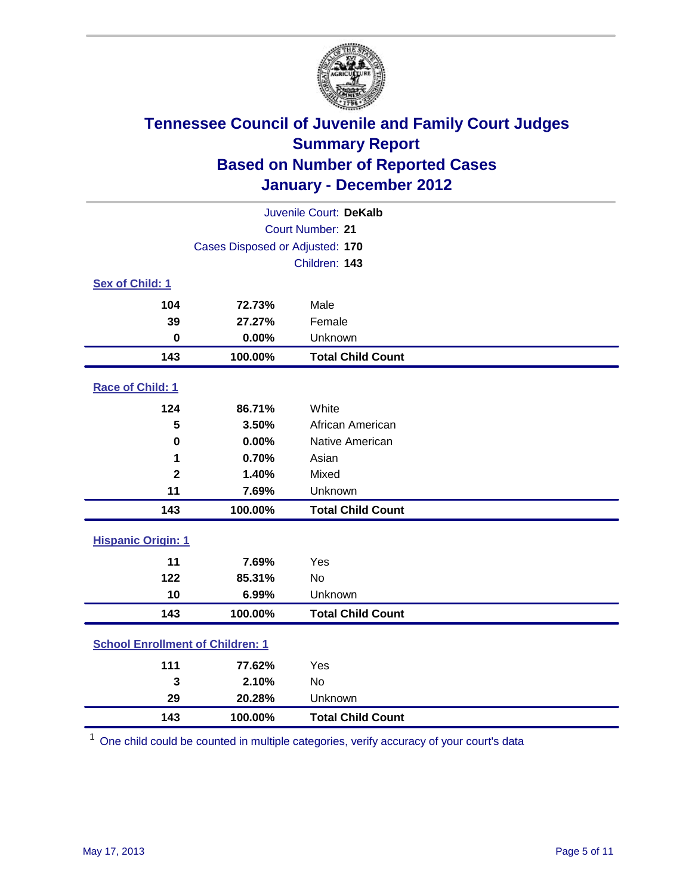

| Juvenile Court: DeKalb                  |         |                          |  |
|-----------------------------------------|---------|--------------------------|--|
| <b>Court Number: 21</b>                 |         |                          |  |
| Cases Disposed or Adjusted: 170         |         |                          |  |
|                                         |         | Children: 143            |  |
| Sex of Child: 1                         |         |                          |  |
| 104                                     | 72.73%  | Male                     |  |
| 39                                      | 27.27%  | Female                   |  |
| $\bf{0}$                                | 0.00%   | Unknown                  |  |
| 143                                     | 100.00% | <b>Total Child Count</b> |  |
| Race of Child: 1                        |         |                          |  |
| 124                                     | 86.71%  | White                    |  |
| 5                                       | 3.50%   | African American         |  |
| $\mathbf 0$                             | 0.00%   | Native American          |  |
| 1                                       | 0.70%   | Asian                    |  |
| $\overline{\mathbf{2}}$                 | 1.40%   | Mixed                    |  |
| 11                                      | 7.69%   | Unknown                  |  |
| 143                                     | 100.00% | <b>Total Child Count</b> |  |
| <b>Hispanic Origin: 1</b>               |         |                          |  |
| 11                                      | 7.69%   | Yes                      |  |
| 122                                     | 85.31%  | <b>No</b>                |  |
| 10                                      | 6.99%   | Unknown                  |  |
| 143                                     | 100.00% | <b>Total Child Count</b> |  |
| <b>School Enrollment of Children: 1</b> |         |                          |  |
| 111                                     | 77.62%  | Yes                      |  |
| 3                                       | 2.10%   | No                       |  |
| 29                                      | 20.28%  | Unknown                  |  |
| 143                                     | 100.00% | <b>Total Child Count</b> |  |

One child could be counted in multiple categories, verify accuracy of your court's data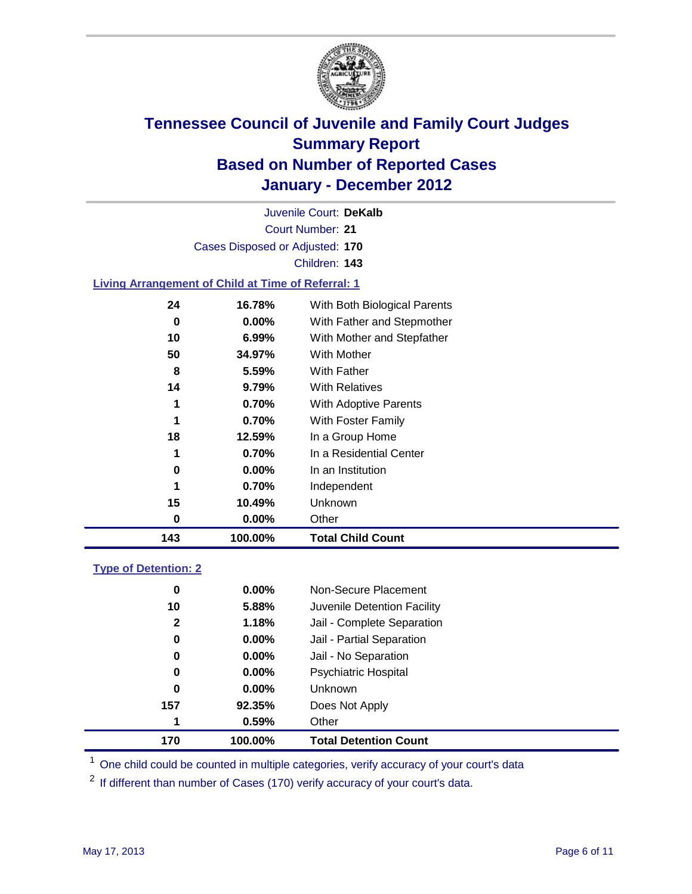

Court Number: **21** Juvenile Court: **DeKalb** Cases Disposed or Adjusted: **170** Children: **143**

### **Living Arrangement of Child at Time of Referral: 1**

| 143 | 100.00%  | <b>Total Child Count</b>     |
|-----|----------|------------------------------|
| 0   | 0.00%    | Other                        |
| 15  | 10.49%   | Unknown                      |
| 1   | 0.70%    | Independent                  |
| 0   | $0.00\%$ | In an Institution            |
| 1   | 0.70%    | In a Residential Center      |
| 18  | 12.59%   | In a Group Home              |
| 1   | 0.70%    | With Foster Family           |
| 1   | 0.70%    | With Adoptive Parents        |
| 14  | 9.79%    | <b>With Relatives</b>        |
| 8   | 5.59%    | <b>With Father</b>           |
| 50  | 34.97%   | <b>With Mother</b>           |
| 10  | $6.99\%$ | With Mother and Stepfather   |
| 0   | $0.00\%$ | With Father and Stepmother   |
| 24  | 16.78%   | With Both Biological Parents |
|     |          |                              |

### **Type of Detention: 2**

| 170          | 100.00%  | <b>Total Detention Count</b> |
|--------------|----------|------------------------------|
| 1            | 0.59%    | Other                        |
| 157          | 92.35%   | Does Not Apply               |
| 0            | $0.00\%$ | Unknown                      |
| 0            | 0.00%    | <b>Psychiatric Hospital</b>  |
| 0            | 0.00%    | Jail - No Separation         |
| 0            | $0.00\%$ | Jail - Partial Separation    |
| $\mathbf{2}$ | 1.18%    | Jail - Complete Separation   |
| 10           | 5.88%    | Juvenile Detention Facility  |
| 0            | $0.00\%$ | Non-Secure Placement         |
|              |          |                              |

<sup>1</sup> One child could be counted in multiple categories, verify accuracy of your court's data

<sup>2</sup> If different than number of Cases (170) verify accuracy of your court's data.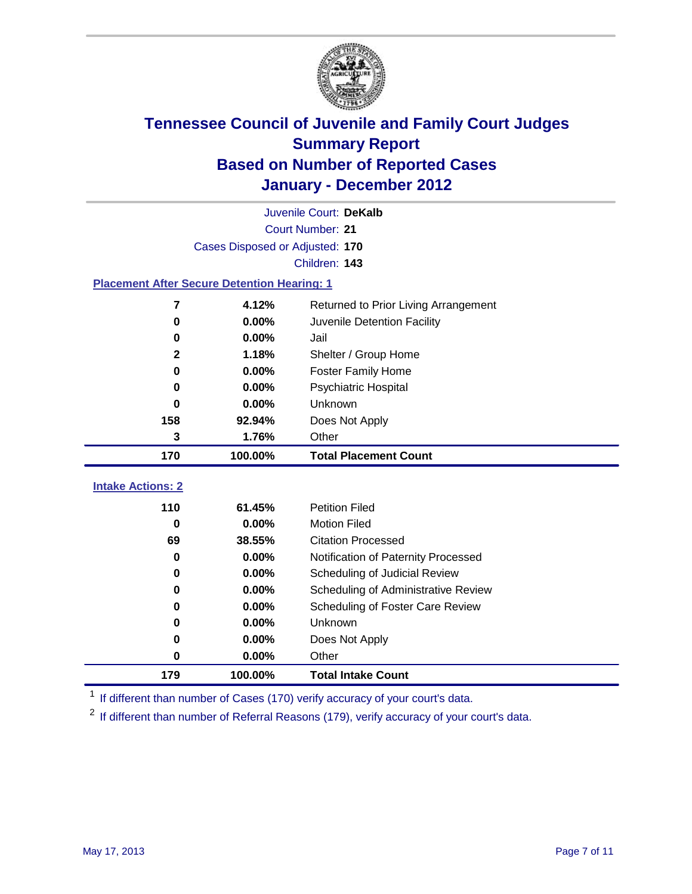

|                                                    | Juvenile Court: DeKalb          |                                                                      |  |  |  |
|----------------------------------------------------|---------------------------------|----------------------------------------------------------------------|--|--|--|
|                                                    | Court Number: 21                |                                                                      |  |  |  |
|                                                    | Cases Disposed or Adjusted: 170 |                                                                      |  |  |  |
|                                                    | Children: 143                   |                                                                      |  |  |  |
| <b>Placement After Secure Detention Hearing: 1</b> |                                 |                                                                      |  |  |  |
| 7                                                  | 4.12%                           | Returned to Prior Living Arrangement                                 |  |  |  |
| 0                                                  | 0.00%                           | Juvenile Detention Facility                                          |  |  |  |
| 0                                                  | 0.00%                           | Jail                                                                 |  |  |  |
| $\mathbf{2}$                                       | 1.18%                           | Shelter / Group Home                                                 |  |  |  |
| 0                                                  | 0.00%                           | <b>Foster Family Home</b>                                            |  |  |  |
| 0                                                  | 0.00%                           | Psychiatric Hospital                                                 |  |  |  |
| 0                                                  | 0.00%                           | Unknown                                                              |  |  |  |
| 158                                                | 92.94%                          | Does Not Apply                                                       |  |  |  |
| 3                                                  | 1.76%                           | Other                                                                |  |  |  |
|                                                    |                                 |                                                                      |  |  |  |
| 170                                                | 100.00%                         | <b>Total Placement Count</b>                                         |  |  |  |
|                                                    |                                 |                                                                      |  |  |  |
| <b>Intake Actions: 2</b>                           |                                 |                                                                      |  |  |  |
| 110                                                | 61.45%                          | <b>Petition Filed</b>                                                |  |  |  |
| 0<br>69                                            | 0.00%<br>38.55%                 | <b>Motion Filed</b><br><b>Citation Processed</b>                     |  |  |  |
| 0                                                  | 0.00%                           |                                                                      |  |  |  |
| 0                                                  | 0.00%                           | Notification of Paternity Processed                                  |  |  |  |
| 0                                                  | 0.00%                           | Scheduling of Judicial Review<br>Scheduling of Administrative Review |  |  |  |
| 0                                                  | 0.00%                           | Scheduling of Foster Care Review                                     |  |  |  |
| 0                                                  | 0.00%                           | Unknown                                                              |  |  |  |
| 0                                                  | 0.00%                           | Does Not Apply                                                       |  |  |  |
| 0                                                  | 0.00%                           | Other                                                                |  |  |  |

<sup>1</sup> If different than number of Cases (170) verify accuracy of your court's data.

<sup>2</sup> If different than number of Referral Reasons (179), verify accuracy of your court's data.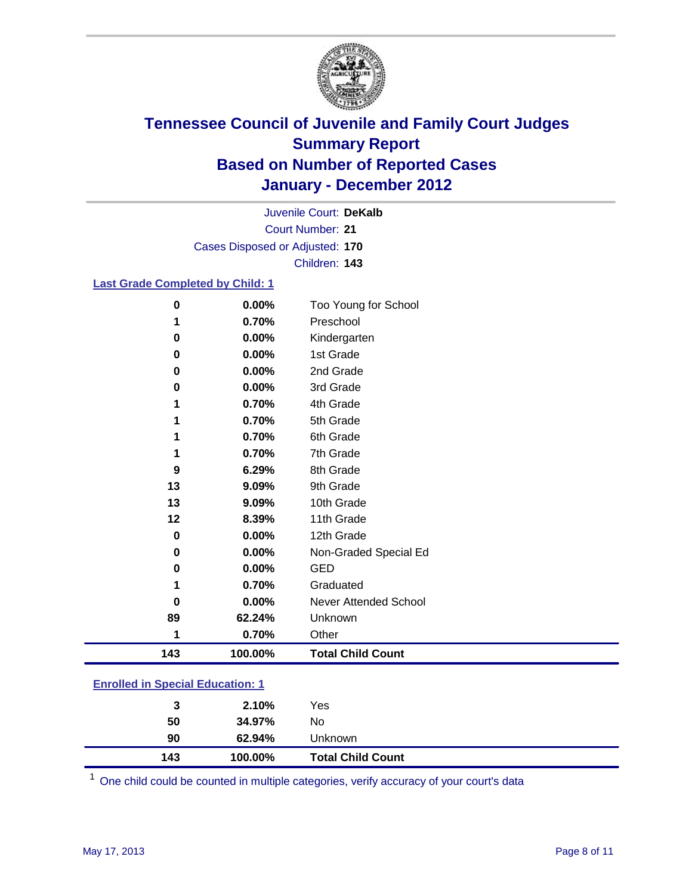

Court Number: **21** Juvenile Court: **DeKalb** Cases Disposed or Adjusted: **170** Children: **143**

### **Last Grade Completed by Child: 1**

| $\pmb{0}$                               | 0.00%   | Too Young for School         |  |
|-----------------------------------------|---------|------------------------------|--|
| 1                                       | 0.70%   | Preschool                    |  |
| $\pmb{0}$                               | 0.00%   | Kindergarten                 |  |
| 0                                       | 0.00%   | 1st Grade                    |  |
| 0                                       | 0.00%   | 2nd Grade                    |  |
| 0                                       | 0.00%   | 3rd Grade                    |  |
| 1                                       | 0.70%   | 4th Grade                    |  |
| 1                                       | 0.70%   | 5th Grade                    |  |
| 1                                       | 0.70%   | 6th Grade                    |  |
| 1                                       | 0.70%   | 7th Grade                    |  |
| 9                                       | 6.29%   | 8th Grade                    |  |
| 13                                      | 9.09%   | 9th Grade                    |  |
| 13                                      | 9.09%   | 10th Grade                   |  |
| 12                                      | 8.39%   | 11th Grade                   |  |
| 0                                       | 0.00%   | 12th Grade                   |  |
| 0                                       | 0.00%   | Non-Graded Special Ed        |  |
| 0                                       | 0.00%   | <b>GED</b>                   |  |
| 1                                       | 0.70%   | Graduated                    |  |
| 0                                       | 0.00%   | <b>Never Attended School</b> |  |
| 89                                      | 62.24%  | Unknown                      |  |
| 1                                       | 0.70%   | Other                        |  |
| 143                                     | 100.00% | <b>Total Child Count</b>     |  |
| <b>Enrolled in Special Education: 1</b> |         |                              |  |

| 90  | 62.94%  | <b>Unknown</b>           |  |
|-----|---------|--------------------------|--|
| 143 | 100.00% | <b>Total Child Count</b> |  |

One child could be counted in multiple categories, verify accuracy of your court's data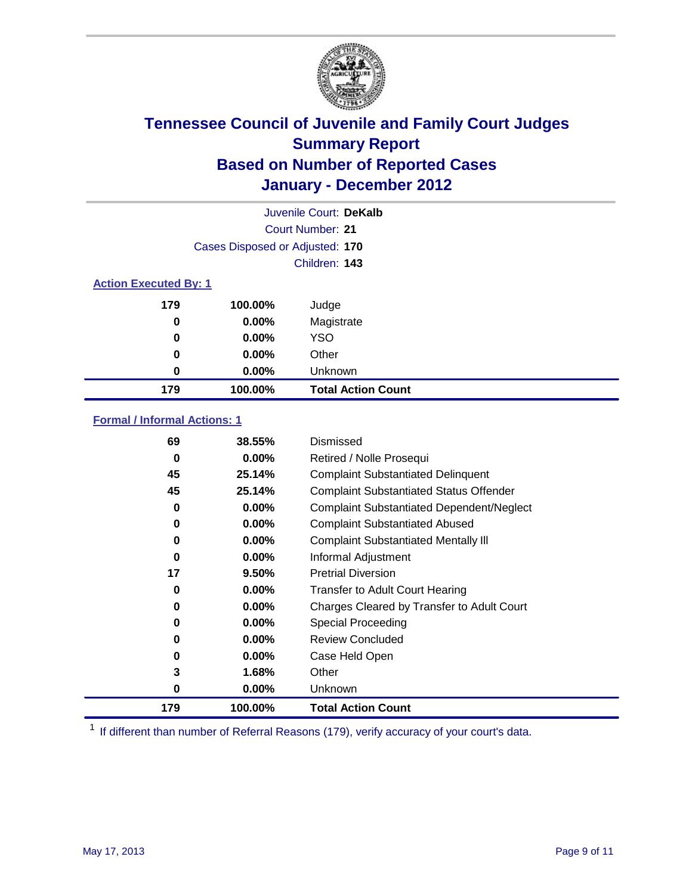

|                  | Juvenile Court: DeKalb          |                           |  |  |  |
|------------------|---------------------------------|---------------------------|--|--|--|
| Court Number: 21 |                                 |                           |  |  |  |
|                  | Cases Disposed or Adjusted: 170 |                           |  |  |  |
|                  | Children: 143                   |                           |  |  |  |
|                  | <b>Action Executed By: 1</b>    |                           |  |  |  |
| 179              | 100.00%                         | Judge                     |  |  |  |
| 0                | 0.00%                           | Magistrate                |  |  |  |
| 0                | 0.00%                           | <b>YSO</b>                |  |  |  |
| 0                | 0.00%                           | Other                     |  |  |  |
| 0                | 0.00%                           | Unknown                   |  |  |  |
| 179              | 100.00%                         | <b>Total Action Count</b> |  |  |  |

### **Formal / Informal Actions: 1**

| 69       | 38.55%   | Dismissed                                        |
|----------|----------|--------------------------------------------------|
| 0        | $0.00\%$ | Retired / Nolle Prosequi                         |
| 45       | 25.14%   | <b>Complaint Substantiated Delinquent</b>        |
| 45       | 25.14%   | <b>Complaint Substantiated Status Offender</b>   |
| 0        | 0.00%    | <b>Complaint Substantiated Dependent/Neglect</b> |
| 0        | $0.00\%$ | <b>Complaint Substantiated Abused</b>            |
| 0        | $0.00\%$ | <b>Complaint Substantiated Mentally III</b>      |
| $\bf{0}$ | $0.00\%$ | Informal Adjustment                              |
| 17       | 9.50%    | <b>Pretrial Diversion</b>                        |
| 0        | $0.00\%$ | <b>Transfer to Adult Court Hearing</b>           |
| 0        | $0.00\%$ | Charges Cleared by Transfer to Adult Court       |
| 0        | $0.00\%$ | Special Proceeding                               |
| 0        | $0.00\%$ | <b>Review Concluded</b>                          |
| 0        | $0.00\%$ | Case Held Open                                   |
| 3        | 1.68%    | Other                                            |
| 0        | $0.00\%$ | <b>Unknown</b>                                   |
| 179      | 100.00%  | <b>Total Action Count</b>                        |

<sup>1</sup> If different than number of Referral Reasons (179), verify accuracy of your court's data.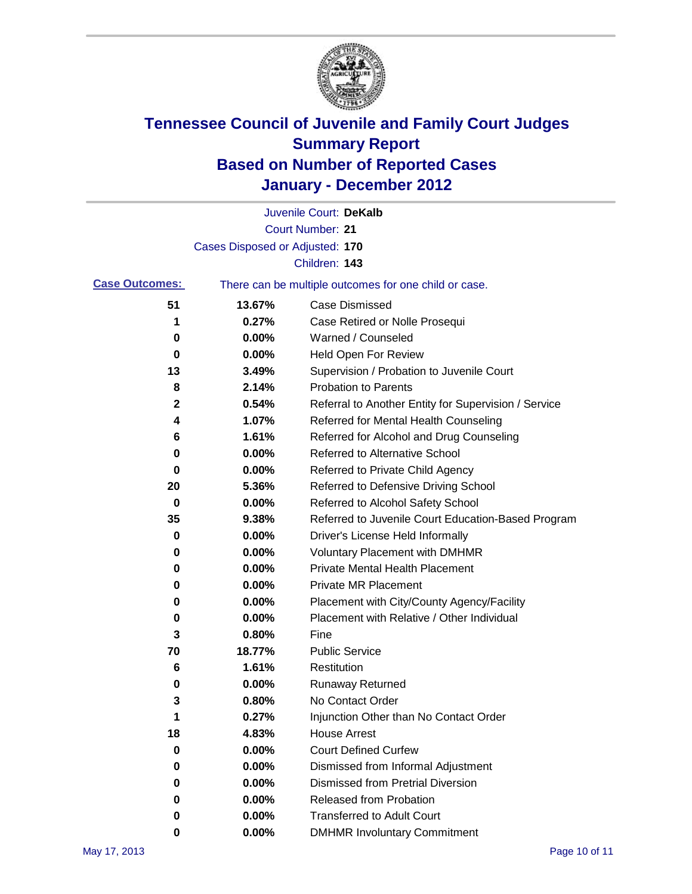

|                       |                                 | Juvenile Court: DeKalb                                |
|-----------------------|---------------------------------|-------------------------------------------------------|
|                       |                                 | <b>Court Number: 21</b>                               |
|                       | Cases Disposed or Adjusted: 170 |                                                       |
|                       |                                 | Children: 143                                         |
| <b>Case Outcomes:</b> |                                 | There can be multiple outcomes for one child or case. |
| 51                    | 13.67%                          | <b>Case Dismissed</b>                                 |
| 1                     | 0.27%                           | Case Retired or Nolle Prosequi                        |
| 0                     | 0.00%                           | Warned / Counseled                                    |
| 0                     | 0.00%                           | Held Open For Review                                  |
| 13                    | 3.49%                           | Supervision / Probation to Juvenile Court             |
| 8                     | 2.14%                           | <b>Probation to Parents</b>                           |
| 2                     | 0.54%                           | Referral to Another Entity for Supervision / Service  |
| 4                     | 1.07%                           | Referred for Mental Health Counseling                 |
| 6                     | 1.61%                           | Referred for Alcohol and Drug Counseling              |
| 0                     | 0.00%                           | <b>Referred to Alternative School</b>                 |
| 0                     | 0.00%                           | Referred to Private Child Agency                      |
| 20                    | 5.36%                           | Referred to Defensive Driving School                  |
| 0                     | 0.00%                           | Referred to Alcohol Safety School                     |
| 35                    | 9.38%                           | Referred to Juvenile Court Education-Based Program    |
| 0                     | 0.00%                           | Driver's License Held Informally                      |
| 0                     | 0.00%                           | <b>Voluntary Placement with DMHMR</b>                 |
| 0                     | 0.00%                           | <b>Private Mental Health Placement</b>                |
| 0                     | 0.00%                           | <b>Private MR Placement</b>                           |
| 0                     | 0.00%                           | Placement with City/County Agency/Facility            |
| 0                     | 0.00%                           | Placement with Relative / Other Individual            |
| 3                     | 0.80%                           | Fine                                                  |
| 70                    | 18.77%                          | <b>Public Service</b>                                 |
| 6                     | 1.61%                           | Restitution                                           |
| 0                     | 0.00%                           | Runaway Returned                                      |
| 3                     | 0.80%                           | No Contact Order                                      |
| 1                     | 0.27%                           | Injunction Other than No Contact Order                |
| 18                    | 4.83%                           | <b>House Arrest</b>                                   |
| 0                     | 0.00%                           | <b>Court Defined Curfew</b>                           |
| 0                     | 0.00%                           | Dismissed from Informal Adjustment                    |
| 0                     | 0.00%                           | <b>Dismissed from Pretrial Diversion</b>              |
| 0                     | 0.00%                           | Released from Probation                               |
| 0                     | 0.00%                           | <b>Transferred to Adult Court</b>                     |
| 0                     | 0.00%                           | <b>DMHMR Involuntary Commitment</b>                   |